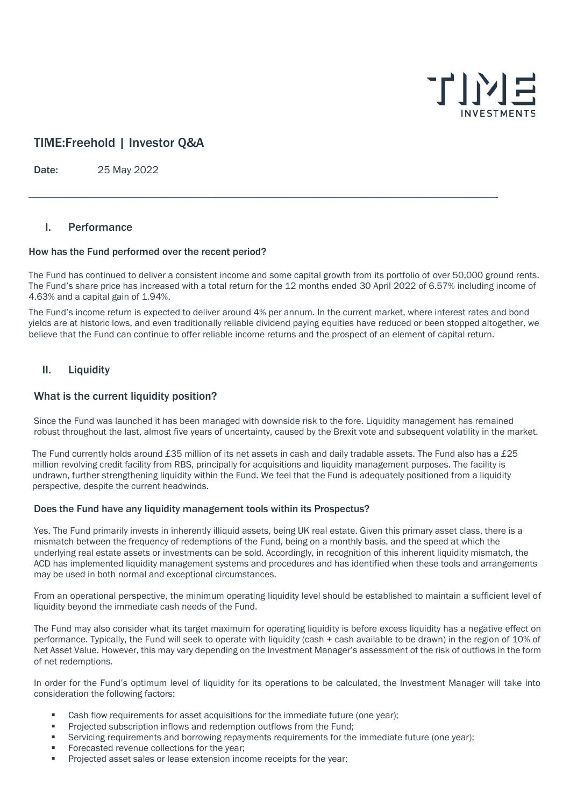

# TIME:Freehold | Investor Q&A

Date: 25 May 2022

# I. Performance

## How has the Fund performed over the recent period?

The Fund has continued to deliver a consistent income and some capital growth from its portfolio of over 50,000 ground rents. The Fund's share price has increased with a total return for the 12 months ended 30 April 2022 of 6.57% including income of 4.63% and a capital gain of 1.94%.

\_\_\_\_\_\_\_\_\_\_\_\_\_\_\_\_\_\_\_\_\_\_\_\_\_\_\_\_\_\_\_\_\_\_\_\_\_\_\_\_\_\_\_\_\_\_\_\_\_\_\_\_\_\_\_\_\_\_\_\_\_\_\_\_\_\_\_\_\_\_\_\_\_\_\_\_\_\_\_\_\_\_\_\_\_\_\_\_\_\_\_\_\_\_\_\_\_\_

The Fund's income return is expected to deliver around 4% per annum. In the current market, where interest rates and bond yields are at historic lows, and even traditionally reliable dividend paying equities have reduced or been stopped altogether, we believe that the Fund can continue to offer reliable income returns and the prospect of an element of capital return.

## II. Liquidity

## What is the current liquidity position?

Since the Fund was launched it has been managed with downside risk to the fore. Liquidity management has remained robust throughout the last, almost five years of uncertainty, caused by the Brexit vote and subsequent volatility in the market.

The Fund currently holds around £35 million of its net assets in cash and daily tradable assets. The Fund also has a £25 million revolving credit facility from RBS, principally for acquisitions and liquidity management purposes. The facility is undrawn, further strengthening liquidity within the Fund. We feel that the Fund is adequately positioned from a liquidity perspective, despite the current headwinds.

#### Does the Fund have any liquidity management tools within its Prospectus?

Yes. The Fund primarily invests in inherently illiquid assets, being UK real estate. Given this primary asset class, there is a mismatch between the frequency of redemptions of the Fund, being on a monthly basis, and the speed at which the underlying real estate assets or investments can be sold. Accordingly, in recognition of this inherent liquidity mismatch, the ACD has implemented liquidity management systems and procedures and has identified when these tools and arrangements may be used in both normal and exceptional circumstances.

From an operational perspective, the minimum operating liquidity level should be established to maintain a sufficient level of liquidity beyond the immediate cash needs of the Fund.

The Fund may also consider what its target maximum for operating liquidity is before excess liquidity has a negative effect on performance. Typically, the Fund will seek to operate with liquidity (cash + cash available to be drawn) in the region of 10% of Net Asset Value. However, this may vary depending on the Investment Manager's assessment of the risk of outflows in the form of net redemptions*.*

In order for the Fund's optimum level of liquidity for its operations to be calculated, the Investment Manager will take into consideration the following factors:

- Cash flow requirements for asset acquisitions for the immediate future (one year);
- Projected subscription inflows and redemption outflows from the Fund;
- Servicing requirements and borrowing repayments requirements for the immediate future (one year);
- Forecasted revenue collections for the year;
- Projected asset sales or lease extension income receipts for the year;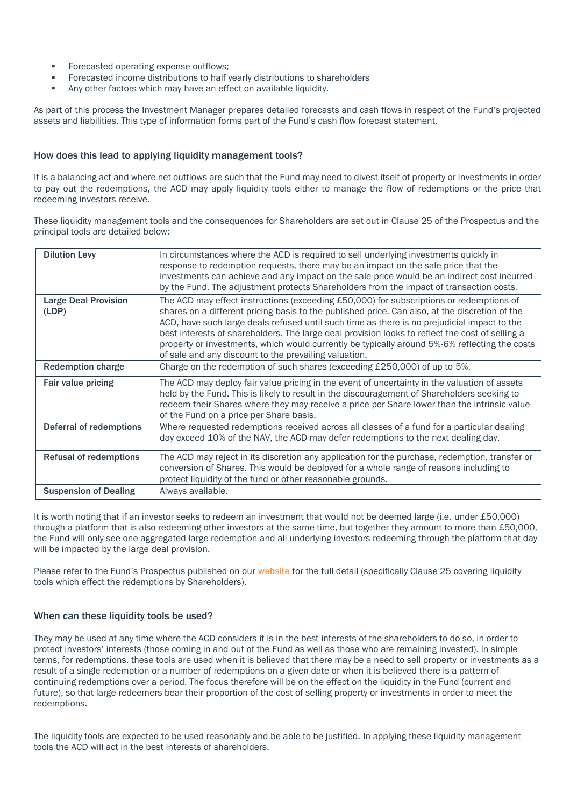- Forecasted operating expense outflows:
- Forecasted income distributions to half yearly distributions to shareholders
- Any other factors which may have an effect on available liquidity.

As part of this process the Investment Manager prepares detailed forecasts and cash flows in respect of the Fund's projected assets and liabilities. This type of information forms part of the Fund's cash flow forecast statement.

## How does this lead to applying liquidity management tools?

It is a balancing act and where net outflows are such that the Fund may need to divest itself of property or investments in order to pay out the redemptions, the ACD may apply liquidity tools either to manage the flow of redemptions or the price that redeeming investors receive.

These liquidity management tools and the consequences for Shareholders are set out in Clause 25 of the Prospectus and the principal tools are detailed below:

| <b>Dilution Levy</b>                 | In circumstances where the ACD is required to sell underlying investments quickly in<br>response to redemption requests, there may be an impact on the sale price that the<br>investments can achieve and any impact on the sale price would be an indirect cost incurred<br>by the Fund. The adjustment protects Shareholders from the impact of transaction costs.                                                                                                                                                                                  |
|--------------------------------------|-------------------------------------------------------------------------------------------------------------------------------------------------------------------------------------------------------------------------------------------------------------------------------------------------------------------------------------------------------------------------------------------------------------------------------------------------------------------------------------------------------------------------------------------------------|
| <b>Large Deal Provision</b><br>(LDP) | The ACD may effect instructions (exceeding £50,000) for subscriptions or redemptions of<br>shares on a different pricing basis to the published price. Can also, at the discretion of the<br>ACD, have such large deals refused until such time as there is no prejudicial impact to the<br>best interests of shareholders. The large deal provision looks to reflect the cost of selling a<br>property or investments, which would currently be typically around 5%-6% reflecting the costs<br>of sale and any discount to the prevailing valuation. |
| <b>Redemption charge</b>             | Charge on the redemption of such shares (exceeding £250,000) of up to 5%.                                                                                                                                                                                                                                                                                                                                                                                                                                                                             |
| Fair value pricing                   | The ACD may deploy fair value pricing in the event of uncertainty in the valuation of assets<br>held by the Fund. This is likely to result in the discouragement of Shareholders seeking to<br>redeem their Shares where they may receive a price per Share lower than the intrinsic value<br>of the Fund on a price per Share basis.                                                                                                                                                                                                                 |
| Deferral of redemptions              | Where requested redemptions received across all classes of a fund for a particular dealing<br>day exceed 10% of the NAV, the ACD may defer redemptions to the next dealing day.                                                                                                                                                                                                                                                                                                                                                                       |
| <b>Refusal of redemptions</b>        | The ACD may reject in its discretion any application for the purchase, redemption, transfer or<br>conversion of Shares. This would be deployed for a whole range of reasons including to<br>protect liquidity of the fund or other reasonable grounds.                                                                                                                                                                                                                                                                                                |
| <b>Suspension of Dealing</b>         | Always available.                                                                                                                                                                                                                                                                                                                                                                                                                                                                                                                                     |

It is worth noting that if an investor seeks to redeem an investment that would not be deemed large (i.e. under £50,000) through a platform that is also redeeming other investors at the same time, but together they amount to more than £50,000, the Fund will only see one aggregated large redemption and all underlying investors redeeming through the platform that day will be impacted by the large deal provision.

Please refer to the Fund's Prospectus published on our **[website](https://time-investments.com/document-library/)** for the full detail (specifically Clause 25 covering liquidity tools which effect the redemptions by Shareholders).

#### When can these liquidity tools be used?

They may be used at any time where the ACD considers it is in the best interests of the shareholders to do so, in order to protect investors' interests (those coming in and out of the Fund as well as those who are remaining invested). In simple terms, for redemptions, these tools are used when it is believed that there may be a need to sell property or investments as a result of a single redemption or a number of redemptions on a given date or when it is believed there is a pattern of continuing redemptions over a period. The focus therefore will be on the effect on the liquidity in the Fund (current and future), so that large redeemers bear their proportion of the cost of selling property or investments in order to meet the redemptions.

The liquidity tools are expected to be used reasonably and be able to be justified. In applying these liquidity management tools the ACD will act in the best interests of shareholders.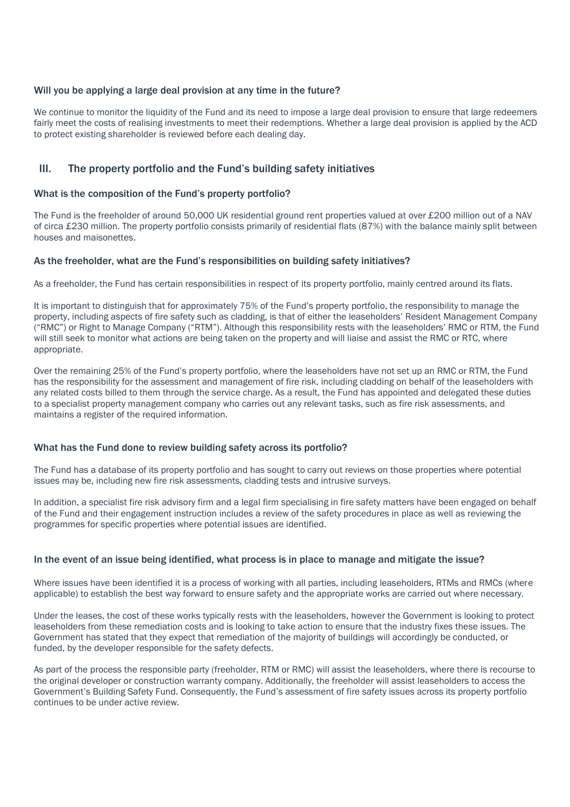## Will you be applying a large deal provision at any time in the future?

We continue to monitor the liquidity of the Fund and its need to impose a large deal provision to ensure that large redeemers fairly meet the costs of realising investments to meet their redemptions. Whether a large deal provision is applied by the ACD to protect existing shareholder is reviewed before each dealing day.

## III. The property portfolio and the Fund's building safety initiatives

#### What is the composition of the Fund's property portfolio?

The Fund is the freeholder of around 50,000 UK residential ground rent properties valued at over £200 million out of a NAV of circa £230 million. The property portfolio consists primarily of residential flats (87%) with the balance mainly split between houses and maisonettes.

#### As the freeholder, what are the Fund's responsibilities on building safety initiatives?

As a freeholder, the Fund has certain responsibilities in respect of its property portfolio, mainly centred around its flats.

It is important to distinguish that for approximately 75% of the Fund's property portfolio, the responsibility to manage the property, including aspects of fire safety such as cladding, is that of either the leaseholders' Resident Management Company ("RMC") or Right to Manage Company ("RTM"). Although this responsibility rests with the leaseholders' RMC or RTM, the Fund will still seek to monitor what actions are being taken on the property and will liaise and assist the RMC or RTC, where appropriate.

Over the remaining 25% of the Fund's property portfolio, where the leaseholders have not set up an RMC or RTM, the Fund has the responsibility for the assessment and management of fire risk, including cladding on behalf of the leaseholders with any related costs billed to them through the service charge. As a result, the Fund has appointed and delegated these duties to a specialist property management company who carries out any relevant tasks, such as fire risk assessments, and maintains a register of the required information.

#### What has the Fund done to review building safety across its portfolio?

The Fund has a database of its property portfolio and has sought to carry out reviews on those properties where potential issues may be, including new fire risk assessments, cladding tests and intrusive surveys.

In addition, a specialist fire risk advisory firm and a legal firm specialising in fire safety matters have been engaged on behalf of the Fund and their engagement instruction includes a review of the safety procedures in place as well as reviewing the programmes for specific properties where potential issues are identified.

#### In the event of an issue being identified, what process is in place to manage and mitigate the issue?

Where issues have been identified it is a process of working with all parties, including leaseholders, RTMs and RMCs (where applicable) to establish the best way forward to ensure safety and the appropriate works are carried out where necessary.

Under the leases, the cost of these works typically rests with the leaseholders, however the Government is looking to protect leaseholders from these remediation costs and is looking to take action to ensure that the industry fixes these issues. The Government has stated that they expect that remediation of the majority of buildings will accordingly be conducted, or funded, by the developer responsible for the safety defects.

As part of the process the responsible party (freeholder, RTM or RMC) will assist the leaseholders, where there is recourse to the original developer or construction warranty company. Additionally, the freeholder will assist leaseholders to access the Government's Building Safety Fund. Consequently, the Fund's assessment of fire safety issues across its property portfolio continues to be under active review.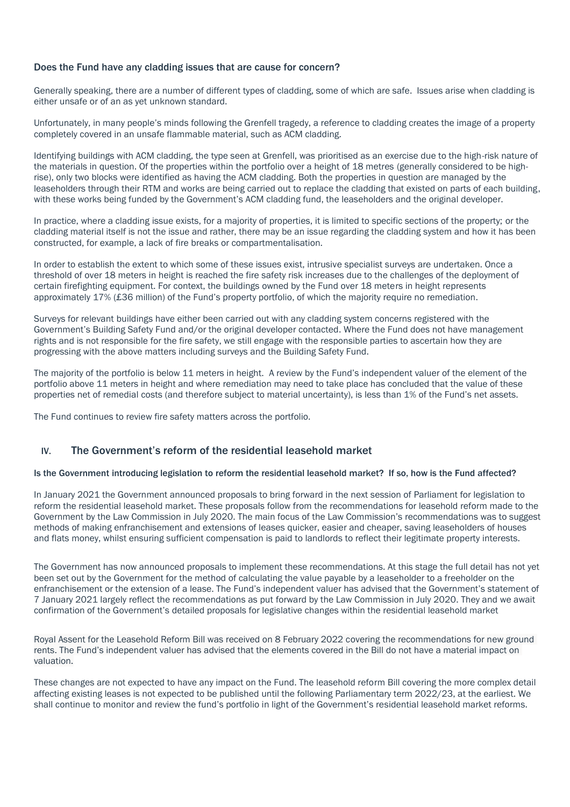# Does the Fund have any cladding issues that are cause for concern?

Generally speaking, there are a number of different types of cladding, some of which are safe. Issues arise when cladding is either unsafe or of an as yet unknown standard.

Unfortunately, in many people's minds following the Grenfell tragedy, a reference to cladding creates the image of a property completely covered in an unsafe flammable material, such as ACM cladding.

Identifying buildings with ACM cladding, the type seen at Grenfell, was prioritised as an exercise due to the high-risk nature of the materials in question. Of the properties within the portfolio over a height of 18 metres (generally considered to be highrise), only two blocks were identified as having the ACM cladding. Both the properties in question are managed by the leaseholders through their RTM and works are being carried out to replace the cladding that existed on parts of each building, with these works being funded by the Government's ACM cladding fund, the leaseholders and the original developer.

In practice, where a cladding issue exists, for a majority of properties, it is limited to specific sections of the property; or the cladding material itself is not the issue and rather, there may be an issue regarding the cladding system and how it has been constructed, for example, a lack of fire breaks or compartmentalisation.

In order to establish the extent to which some of these issues exist, intrusive specialist surveys are undertaken. Once a threshold of over 18 meters in height is reached the fire safety risk increases due to the challenges of the deployment of certain firefighting equipment. For context, the buildings owned by the Fund over 18 meters in height represents approximately 17% (£36 million) of the Fund's property portfolio, of which the majority require no remediation.

Surveys for relevant buildings have either been carried out with any cladding system concerns registered with the Government's Building Safety Fund and/or the original developer contacted. Where the Fund does not have management rights and is not responsible for the fire safety, we still engage with the responsible parties to ascertain how they are progressing with the above matters including surveys and the Building Safety Fund.

The majority of the portfolio is below 11 meters in height. A review by the Fund's independent valuer of the element of the portfolio above 11 meters in height and where remediation may need to take place has concluded that the value of these properties net of remedial costs (and therefore subject to material uncertainty), is less than 1% of the Fund's net assets.

The Fund continues to review fire safety matters across the portfolio.

## IV. The Government's reform of the residential leasehold market

#### Is the Government introducing legislation to reform the residential leasehold market? If so, how is the Fund affected?

In January 2021 the Government announced proposals to bring forward in the next session of Parliament for legislation to reform the residential leasehold market. These proposals follow from the recommendations for leasehold reform made to the Government by the Law Commission in July 2020. The main focus of the Law Commission's recommendations was to suggest methods of making enfranchisement and extensions of leases quicker, easier and cheaper, saving leaseholders of houses and flats money, whilst ensuring sufficient compensation is paid to landlords to reflect their legitimate property interests.

The Government has now announced proposals to implement these recommendations. At this stage the full detail has not yet been set out by the Government for the method of calculating the value payable by a leaseholder to a freeholder on the enfranchisement or the extension of a lease. The Fund's independent valuer has advised that the Government's statement of 7 January 2021 largely reflect the recommendations as put forward by the Law Commission in July 2020. They and we await confirmation of the Government's detailed proposals for legislative changes within the residential leasehold market

Royal Assent for the Leasehold Reform Bill was received on 8 February 2022 covering the recommendations for new ground rents. The Fund's independent valuer has advised that the elements covered in the Bill do not have a material impact on valuation.

These changes are not expected to have any impact on the Fund. The leasehold reform Bill covering the more complex detail affecting existing leases is not expected to be published until the following Parliamentary term 2022/23, at the earliest. We shall continue to monitor and review the fund's portfolio in light of the Government's residential leasehold market reforms.